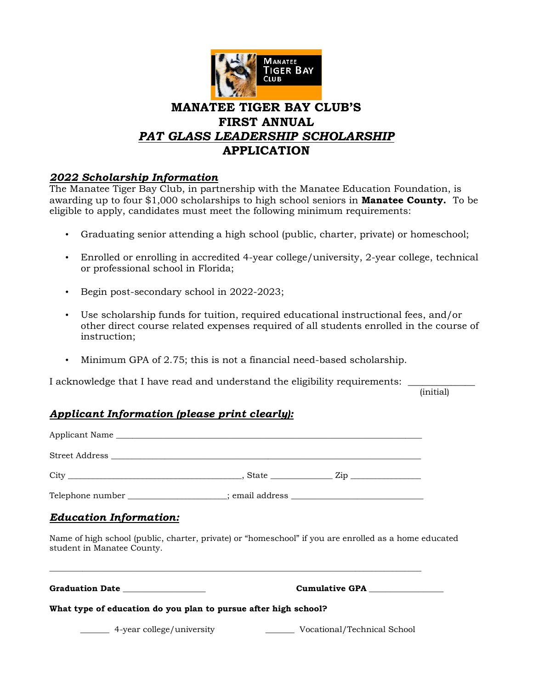

# **MANATEE TIGER BAY CLUB'S FIRST ANNUAL** *PAT GLASS LEADERSHIP SCHOLARSHIP* **APPLICATION**

## *2022 Scholarship Information*

The Manatee Tiger Bay Club, in partnership with the Manatee Education Foundation, is awarding up to four \$1,000 scholarships to high school seniors in **Manatee County.** To be eligible to apply, candidates must meet the following minimum requirements:

- Graduating senior attending a high school (public, charter, private) or homeschool;
- Enrolled or enrolling in accredited 4-year college/university, 2-year college, technical or professional school in Florida;
- Begin post-secondary school in 2022-2023;
- Use scholarship funds for tuition, required educational instructional fees, and/or other direct course related expenses required of all students enrolled in the course of instruction;
- Minimum GPA of 2.75; this is not a financial need-based scholarship.

I acknowledge that I have read and understand the eligibility requirements:

(initial)

## *Applicant Information (please print clearly):*

| Applicant Name and the state of the state of the state of the state of the state of the state of the state of the state of the state of the state of the state of the state of the state of the state of the state of the stat |  |                                |
|--------------------------------------------------------------------------------------------------------------------------------------------------------------------------------------------------------------------------------|--|--------------------------------|
|                                                                                                                                                                                                                                |  |                                |
|                                                                                                                                                                                                                                |  |                                |
| Telephone number __________________; email address _____________________________                                                                                                                                               |  |                                |
| <b>Education Information:</b>                                                                                                                                                                                                  |  |                                |
| Name of high school (public, charter, private) or "homeschool" if you are enrolled as a home educated<br>student in Manatee County.                                                                                            |  |                                |
| Graduation Date <b>Search Contract Control</b><br>What type of education do you plan to pursue after high school?                                                                                                              |  | Cumulative GPA _______________ |
|                                                                                                                                                                                                                                |  |                                |